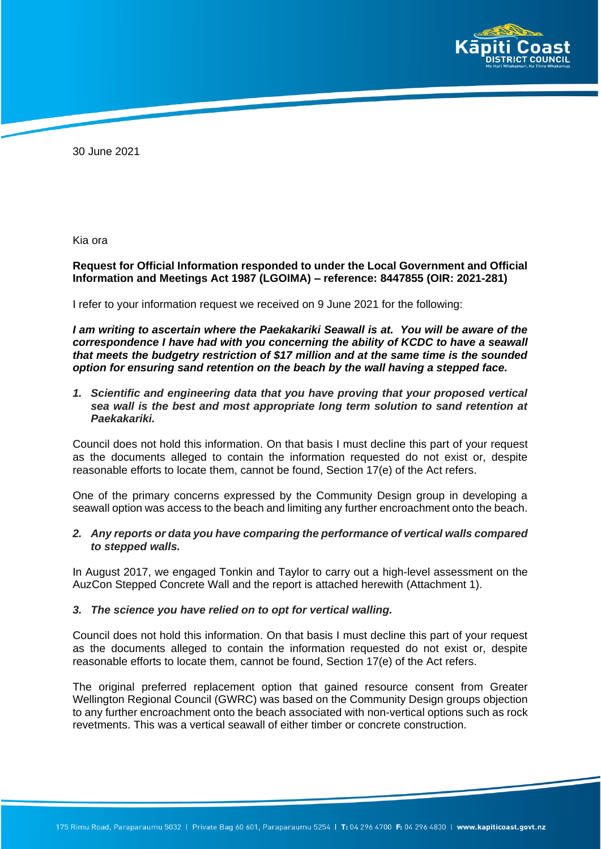

30 June 2021

Kia ora

### **Request for Official Information responded to under the Local Government and Official Information and Meetings Act 1987 (LGOIMA) – reference: 8447855 (OIR: 2021-281)**

I refer to your information request we received on 9 June 2021 for the following:

*I am writing to ascertain where the Paekakariki Seawall is at. You will be aware of the correspondence I have had with you concerning the ability of KCDC to have a seawall that meets the budgetry restriction of \$17 million and at the same time is the sounded option for ensuring sand retention on the beach by the wall having a stepped face.* 

*1. Scientific and engineering data that you have proving that your proposed vertical sea wall is the best and most appropriate long term solution to sand retention at Paekakariki.*

Council does not hold this information. On that basis I must decline this part of your request as the documents alleged to contain the information requested do not exist or, despite reasonable efforts to locate them, cannot be found, Section 17(e) of the Act refers.

One of the primary concerns expressed by the Community Design group in developing a seawall option was access to the beach and limiting any further encroachment onto the beach.

### *2. Any reports or data you have comparing the performance of vertical walls compared to stepped walls.*

In August 2017, we engaged Tonkin and Taylor to carry out a high-level assessment on the AuzCon Stepped Concrete Wall and the report is attached herewith (Attachment 1).

#### *3. The science you have relied on to opt for vertical walling.*

Council does not hold this information. On that basis I must decline this part of your request as the documents alleged to contain the information requested do not exist or, despite reasonable efforts to locate them, cannot be found, Section 17(e) of the Act refers.

The original preferred replacement option that gained resource consent from Greater Wellington Regional Council (GWRC) was based on the Community Design groups objection to any further encroachment onto the beach associated with non-vertical options such as rock revetments. This was a vertical seawall of either timber or concrete construction.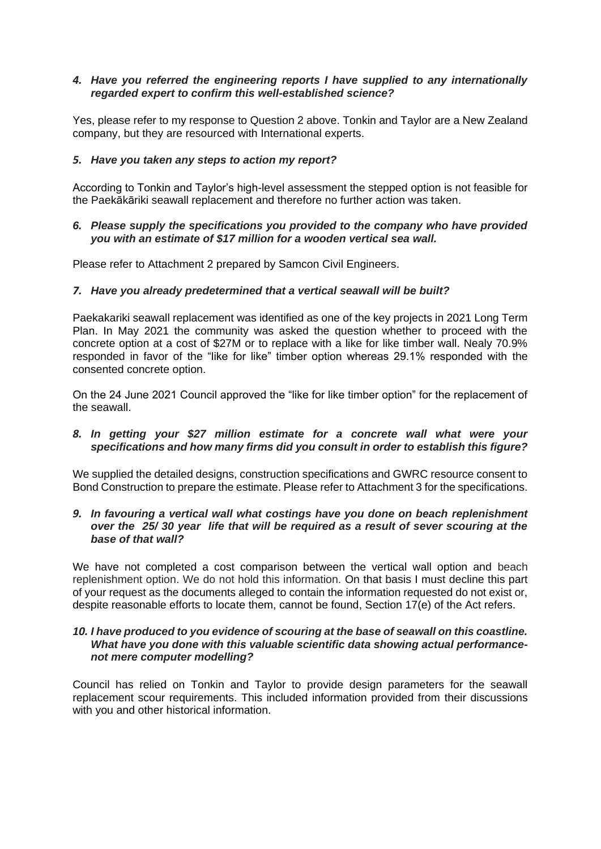# *4. Have you referred the engineering reports I have supplied to any internationally regarded expert to confirm this well-established science?*

Yes, please refer to my response to Question 2 above. Tonkin and Taylor are a New Zealand company, but they are resourced with International experts.

### *5. Have you taken any steps to action my report?*

According to Tonkin and Taylor's high-level assessment the stepped option is not feasible for the Paekākāriki seawall replacement and therefore no further action was taken.

# *6. Please supply the specifications you provided to the company who have provided you with an estimate of \$17 million for a wooden vertical sea wall.*

Please refer to Attachment 2 prepared by Samcon Civil Engineers.

# *7. Have you already predetermined that a vertical seawall will be built?*

Paekakariki seawall replacement was identified as one of the key projects in 2021 Long Term Plan. In May 2021 the community was asked the question whether to proceed with the concrete option at a cost of \$27M or to replace with a like for like timber wall. Nealy 70.9% responded in favor of the "like for like" timber option whereas 29.1% responded with the consented concrete option.

On the 24 June 2021 Council approved the "like for like timber option" for the replacement of the seawall.

### *8. In getting your \$27 million estimate for a concrete wall what were your specifications and how many firms did you consult in order to establish this figure?*

We supplied the detailed designs, construction specifications and GWRC resource consent to Bond Construction to prepare the estimate. Please refer to Attachment 3 for the specifications.

#### *9. In favouring a vertical wall what costings have you done on beach replenishment over the 25/ 30 year life that will be required as a result of sever scouring at the base of that wall?*

We have not completed a cost comparison between the vertical wall option and beach replenishment option. We do not hold this information. On that basis I must decline this part of your request as the documents alleged to contain the information requested do not exist or, despite reasonable efforts to locate them, cannot be found, Section 17(e) of the Act refers.

### *10. I have produced to you evidence of scouring at the base of seawall on this coastline. What have you done with this valuable scientific data showing actual performancenot mere computer modelling?*

Council has relied on Tonkin and Taylor to provide design parameters for the seawall replacement scour requirements. This included information provided from their discussions with you and other historical information.